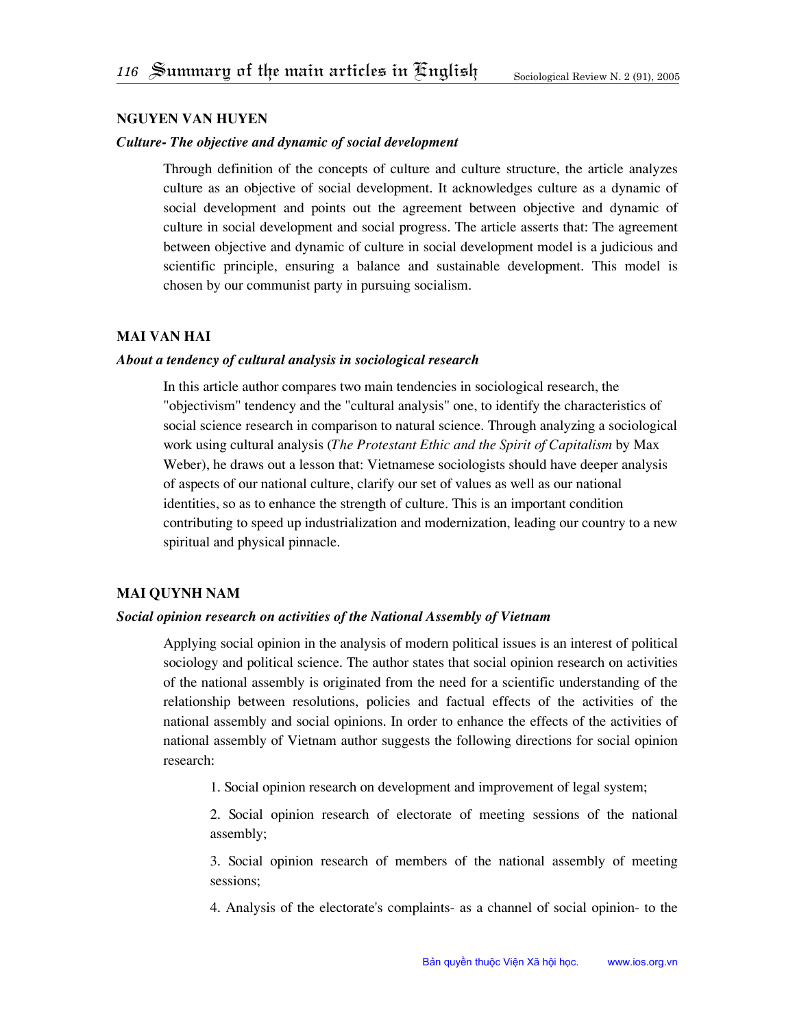#### **Nguyen Van Huyen**

# *Culture- The objective and dynamic of social development*

Through definition of the concepts of culture and culture structure, the article analyzes culture as an objective of social development. It acknowledges culture as a dynamic of social development and points out the agreement between objective and dynamic of culture in social development and social progress. The article asserts that: The agreement between objective and dynamic of culture in social development model is a judicious and scientific principle, ensuring a balance and sustainable development. This model is chosen by our communist party in pursuing socialism.

## **Mai Van Hai**

## *About a tendency of cultural analysis in sociological research*

In this article author compares two main tendencies in sociological research, the "objectivism" tendency and the "cultural analysis" one, to identify the characteristics of social science research in comparison to natural science. Through analyzing a sociological work using cultural analysis (*The Protestant Ethic and the Spirit of Capitalism* by Max Weber), he draws out a lesson that: Vietnamese sociologists should have deeper analysis of aspects of our national culture, clarify our set of values as well as our national identities, so as to enhance the strength of culture. This is an important condition contributing to speed up industrialization and modernization, leading our country to a new spiritual and physical pinnacle.

## **Mai Quynh Nam**

## *Social opinion research on activities of the National Assembly of Vietnam*

Applying social opinion in the analysis of modern political issues is an interest of political sociology and political science. The author states that social opinion research on activities of the national assembly is originated from the need for a scientific understanding of the relationship between resolutions, policies and factual effects of the activities of the national assembly and social opinions. In order to enhance the effects of the activities of national assembly of Vietnam author suggests the following directions for social opinion research:

1. Social opinion research on development and improvement of legal system;

2. Social opinion research of electorate of meeting sessions of the national assembly;

3. Social opinion research of members of the national assembly of meeting sessions;

4. Analysis of the electorate's complaints- as a channel of social opinion- to the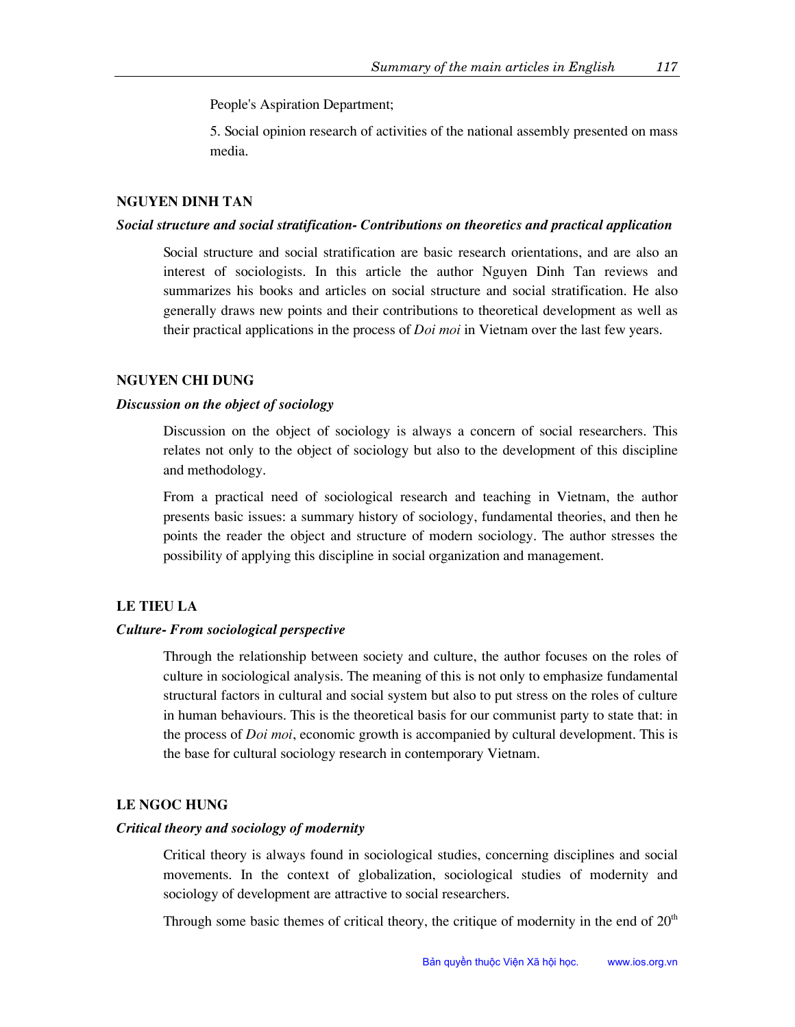People's Aspiration Department;

5. Social opinion research of activities of the national assembly presented on mass media.

#### **Nguyen Dinh Tan**

#### *Social structure and social stratification- Contributions on theoretics and practical application*

Social structure and social stratification are basic research orientations, and are also an interest of sociologists. In this article the author Nguyen Dinh Tan reviews and summarizes his books and articles on social structure and social stratification. He also generally draws new points and their contributions to theoretical development as well as their practical applications in the process of *Doi moi* in Vietnam over the last few years.

#### **Nguyen Chi Dung**

#### *Discussion on the object of sociology*

Discussion on the object of sociology is always a concern of social researchers. This relates not only to the object of sociology but also to the development of this discipline and methodology.

From a practical need of sociological research and teaching in Vietnam, the author presents basic issues: a summary history of sociology, fundamental theories, and then he points the reader the object and structure of modern sociology. The author stresses the possibility of applying this discipline in social organization and management.

## **Le Tieu La**

#### *Culture- From sociological perspective*

Through the relationship between society and culture, the author focuses on the roles of culture in sociological analysis. The meaning of this is not only to emphasize fundamental structural factors in cultural and social system but also to put stress on the roles of culture in human behaviours. This is the theoretical basis for our communist party to state that: in the process of *Doi moi*, economic growth is accompanied by cultural development. This is the base for cultural sociology research in contemporary Vietnam.

#### **Le Ngoc Hung**

### *Critical theory and sociology of modernity*

Critical theory is always found in sociological studies, concerning disciplines and social movements. In the context of globalization, sociological studies of modernity and sociology of development are attractive to social researchers.

Through some basic themes of critical theory, the critique of modernity in the end of  $20<sup>th</sup>$